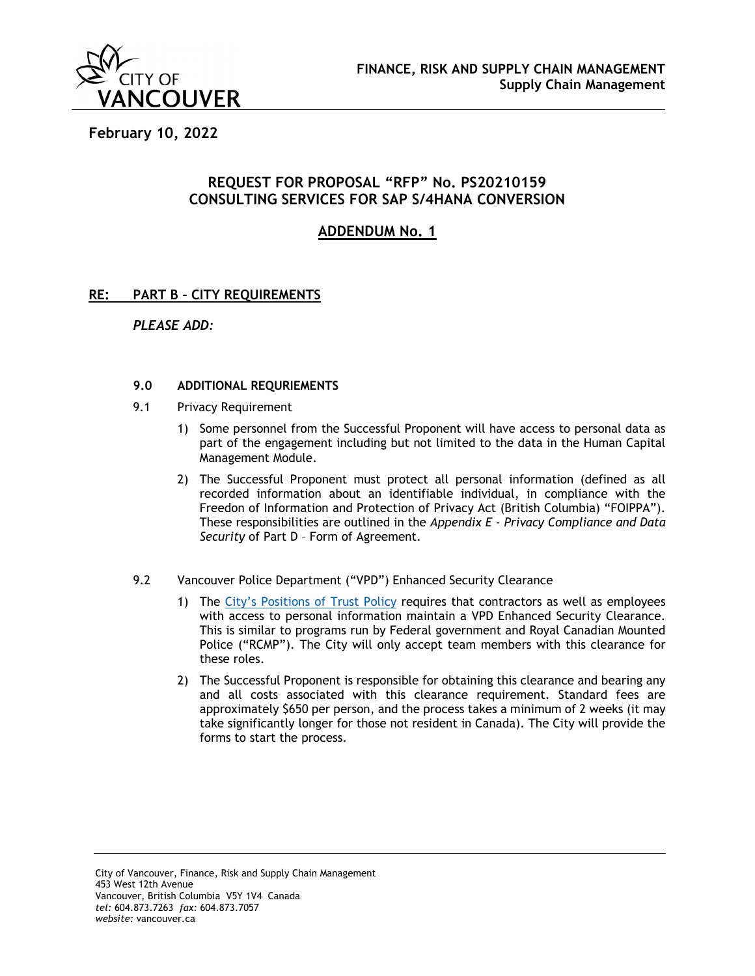

**February 10, 2022** 

# **REQUEST FOR PROPOSAL "RFP" No. PS20210159 CONSULTING SERVICES FOR SAP S/4HANA CONVERSION**

# **ADDENDUM No. 1**

### **RE: PART B – CITY REQUIREMENTS**

#### *PLEASE ADD:*

### **9.0 ADDITIONAL REQURIEMENTS**

- 9.1 Privacy Requirement
	- 1) Some personnel from the Successful Proponent will have access to personal data as part of the engagement including but not limited to the data in the Human Capital Management Module.
	- 2) The Successful Proponent must protect all personal information (defined as all recorded information about an identifiable individual, in compliance with the Freedon of Information and Protection of Privacy Act (British Columbia) "FOIPPA"). These responsibilities are outlined in the *Appendix E - Privacy Compliance and Data Security* of Part D – Form of Agreement.
- 9.2 Vancouver Police Department ("VPD") Enhanced Security Clearance
	- 1) The City's Positions of Trust Policy requires that contractors as well as employees with access to personal information maintain a VPD Enhanced Security Clearance. This is similar to programs run by Federal government and Royal Canadian Mounted Police ("RCMP"). The City will only accept team members with this clearance for these roles.
	- 2) The Successful Proponent is responsible for obtaining this clearance and bearing any and all costs associated with this clearance requirement. Standard fees are approximately \$650 per person, and the process takes a minimum of 2 weeks (it may take significantly longer for those not resident in Canada). The City will provide the forms to start the process.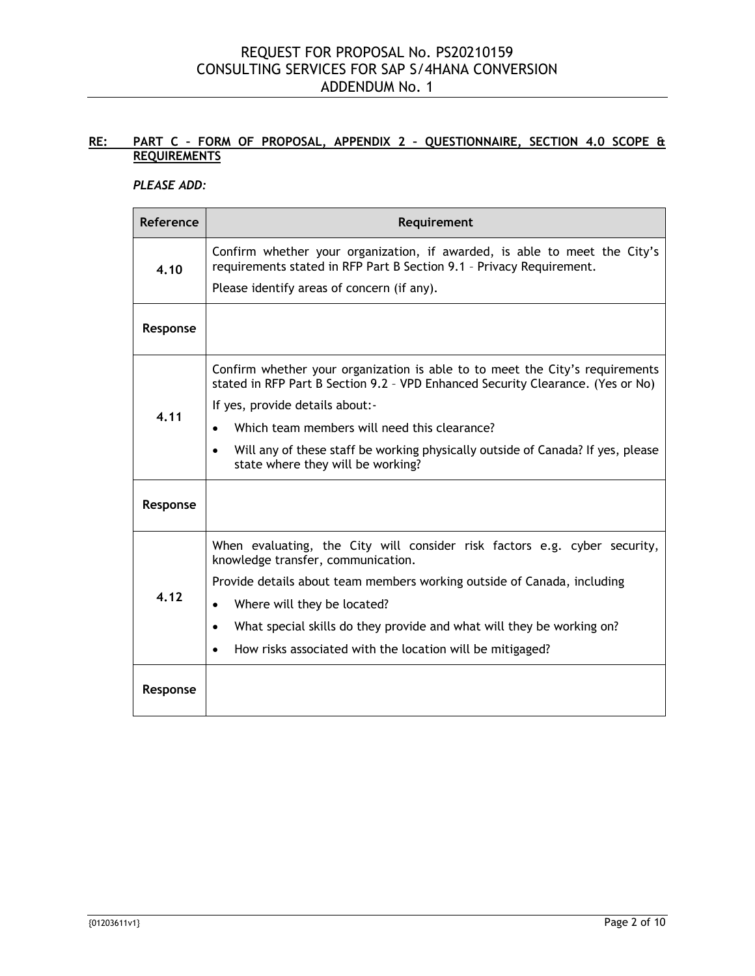# **RE: PART C – FORM OF PROPOSAL, APPENDIX 2 – QUESTIONNAIRE, SECTION 4.0 SCOPE & REQUIREMENTS**

### *PLEASE ADD:*

| Reference | Requirement                                                                                                                                                     |
|-----------|-----------------------------------------------------------------------------------------------------------------------------------------------------------------|
| 4.10      | Confirm whether your organization, if awarded, is able to meet the City's<br>requirements stated in RFP Part B Section 9.1 - Privacy Requirement.               |
|           | Please identify areas of concern (if any).                                                                                                                      |
| Response  |                                                                                                                                                                 |
| 4.11      | Confirm whether your organization is able to to meet the City's requirements<br>stated in RFP Part B Section 9.2 - VPD Enhanced Security Clearance. (Yes or No) |
|           | If yes, provide details about:-                                                                                                                                 |
|           | Which team members will need this clearance?                                                                                                                    |
|           | Will any of these staff be working physically outside of Canada? If yes, please<br>$\bullet$<br>state where they will be working?                               |
| Response  |                                                                                                                                                                 |
| 4.12      | When evaluating, the City will consider risk factors e.g. cyber security,<br>knowledge transfer, communication.                                                 |
|           | Provide details about team members working outside of Canada, including                                                                                         |
|           | Where will they be located?<br>$\bullet$                                                                                                                        |
|           | What special skills do they provide and what will they be working on?                                                                                           |
|           | How risks associated with the location will be mitigaged?                                                                                                       |
| Response  |                                                                                                                                                                 |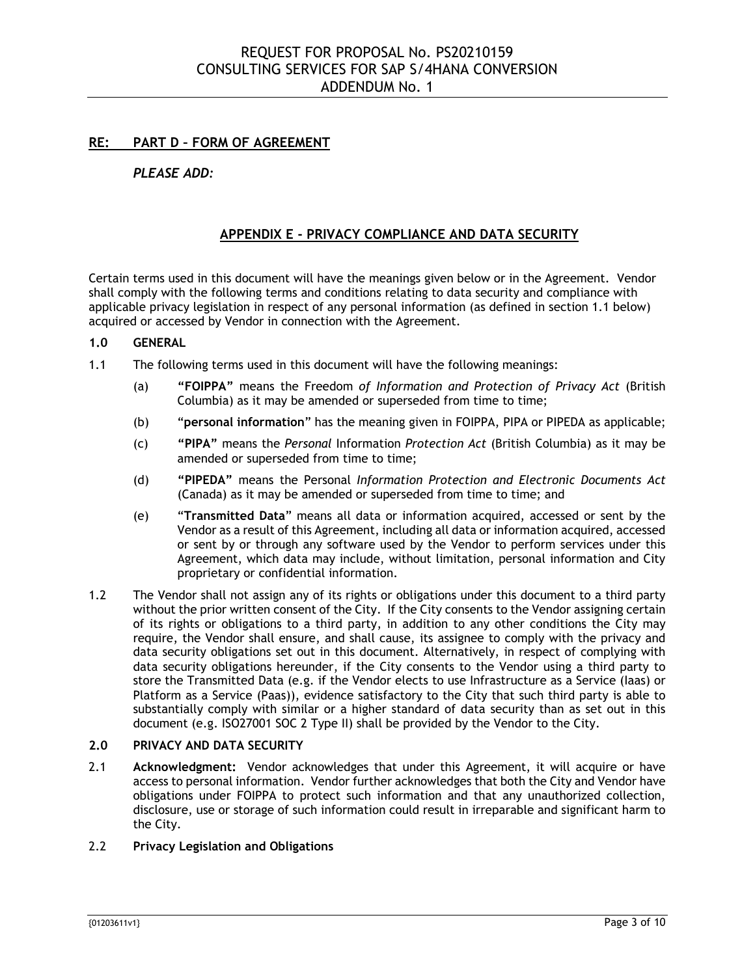## **RE: PART D – FORM OF AGREEMENT**

### *PLEASE ADD:*

## **APPENDIX E - PRIVACY COMPLIANCE AND DATA SECURITY**

Certain terms used in this document will have the meanings given below or in the Agreement. Vendor shall comply with the following terms and conditions relating to data security and compliance with applicable privacy legislation in respect of any personal information (as defined in section 1.1 below) acquired or accessed by Vendor in connection with the Agreement.

#### **1.0 GENERAL**

- 1.1 The following terms used in this document will have the following meanings:
	- (a) **"FOIPPA"** means the Freedom *of Information and Protection of Privacy Act* (British Columbia) as it may be amended or superseded from time to time;
	- (b) "**personal information**" has the meaning given in FOIPPA, PIPA or PIPEDA as applicable;
	- (c) **"PIPA"** means the *Personal* Information *Protection Act* (British Columbia) as it may be amended or superseded from time to time;
	- (d) **"PIPEDA"** means the Personal *Information Protection and Electronic Documents Act* (Canada) as it may be amended or superseded from time to time; and
	- (e) "**Transmitted Data**" means all data or information acquired, accessed or sent by the Vendor as a result of this Agreement, including all data or information acquired, accessed or sent by or through any software used by the Vendor to perform services under this Agreement, which data may include, without limitation, personal information and City proprietary or confidential information.
- 1.2 The Vendor shall not assign any of its rights or obligations under this document to a third party without the prior written consent of the City. If the City consents to the Vendor assigning certain of its rights or obligations to a third party, in addition to any other conditions the City may require, the Vendor shall ensure, and shall cause, its assignee to comply with the privacy and data security obligations set out in this document. Alternatively, in respect of complying with data security obligations hereunder, if the City consents to the Vendor using a third party to store the Transmitted Data (e.g. if the Vendor elects to use Infrastructure as a Service (Iaas) or Platform as a Service (Paas)), evidence satisfactory to the City that such third party is able to substantially comply with similar or a higher standard of data security than as set out in this document (e.g. ISO27001 SOC 2 Type II) shall be provided by the Vendor to the City.

#### **2.0 PRIVACY AND DATA SECURITY**

2.1 **Acknowledgment:** Vendor acknowledges that under this Agreement, it will acquire or have access to personal information. Vendor further acknowledges that both the City and Vendor have obligations under FOIPPA to protect such information and that any unauthorized collection, disclosure, use or storage of such information could result in irreparable and significant harm to the City.

#### 2.2 **Privacy Legislation and Obligations**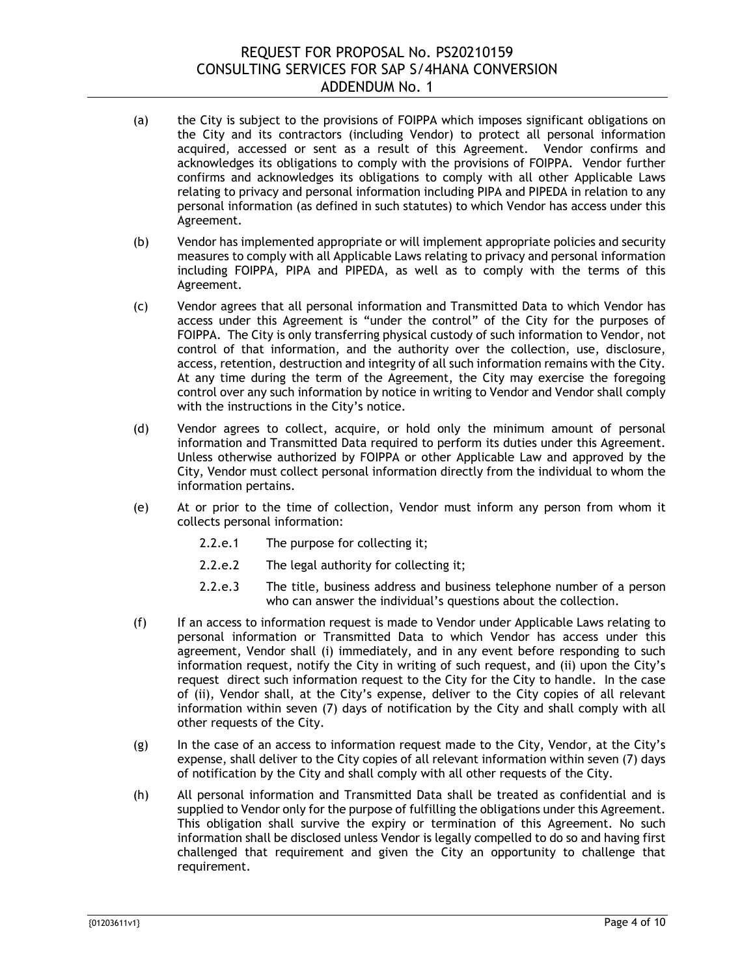## REQUEST FOR PROPOSAL No. PS20210159 CONSULTING SERVICES FOR SAP S/4HANA CONVERSION ADDENDUM No. 1

- (a) the City is subject to the provisions of FOIPPA which imposes significant obligations on the City and its contractors (including Vendor) to protect all personal information acquired, accessed or sent as a result of this Agreement. Vendor confirms and acknowledges its obligations to comply with the provisions of FOIPPA. Vendor further confirms and acknowledges its obligations to comply with all other Applicable Laws relating to privacy and personal information including PIPA and PIPEDA in relation to any personal information (as defined in such statutes) to which Vendor has access under this Agreement.
- (b) Vendor has implemented appropriate or will implement appropriate policies and security measures to comply with all Applicable Laws relating to privacy and personal information including FOIPPA, PIPA and PIPEDA, as well as to comply with the terms of this Agreement.
- (c) Vendor agrees that all personal information and Transmitted Data to which Vendor has access under this Agreement is "under the control" of the City for the purposes of FOIPPA. The City is only transferring physical custody of such information to Vendor, not control of that information, and the authority over the collection, use, disclosure, access, retention, destruction and integrity of all such information remains with the City. At any time during the term of the Agreement, the City may exercise the foregoing control over any such information by notice in writing to Vendor and Vendor shall comply with the instructions in the City's notice.
- (d) Vendor agrees to collect, acquire, or hold only the minimum amount of personal information and Transmitted Data required to perform its duties under this Agreement. Unless otherwise authorized by FOIPPA or other Applicable Law and approved by the City, Vendor must collect personal information directly from the individual to whom the information pertains.
- (e) At or prior to the time of collection, Vendor must inform any person from whom it collects personal information:
	- 2.2.e.1 The purpose for collecting it;
	- 2.2.e.2 The legal authority for collecting it;
	- 2.2.e.3 The title, business address and business telephone number of a person who can answer the individual's questions about the collection.
- (f) If an access to information request is made to Vendor under Applicable Laws relating to personal information or Transmitted Data to which Vendor has access under this agreement, Vendor shall (i) immediately, and in any event before responding to such information request, notify the City in writing of such request, and (ii) upon the City's request direct such information request to the City for the City to handle. In the case of (ii), Vendor shall, at the City's expense, deliver to the City copies of all relevant information within seven (7) days of notification by the City and shall comply with all other requests of the City.
- (g) In the case of an access to information request made to the City, Vendor, at the City's expense, shall deliver to the City copies of all relevant information within seven (7) days of notification by the City and shall comply with all other requests of the City.
- (h) All personal information and Transmitted Data shall be treated as confidential and is supplied to Vendor only for the purpose of fulfilling the obligations under this Agreement. This obligation shall survive the expiry or termination of this Agreement. No such information shall be disclosed unless Vendor is legally compelled to do so and having first challenged that requirement and given the City an opportunity to challenge that requirement.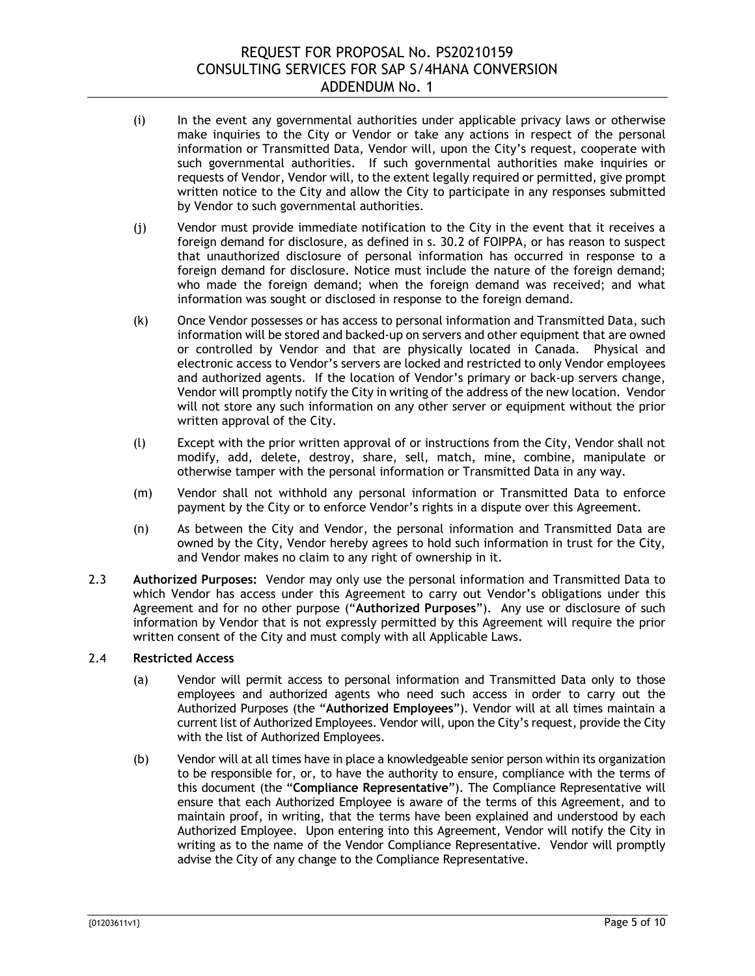# REQUEST FOR PROPOSAL No. PS20210159 CONSULTING SERVICES FOR SAP S/4HANA CONVERSION ADDENDUM No. 1

- (i) In the event any governmental authorities under applicable privacy laws or otherwise make inquiries to the City or Vendor or take any actions in respect of the personal information or Transmitted Data, Vendor will, upon the City's request, cooperate with such governmental authorities. If such governmental authorities make inquiries or requests of Vendor, Vendor will, to the extent legally required or permitted, give prompt written notice to the City and allow the City to participate in any responses submitted by Vendor to such governmental authorities.
- (j) Vendor must provide immediate notification to the City in the event that it receives a foreign demand for disclosure, as defined in s. 30.2 of FOIPPA, or has reason to suspect that unauthorized disclosure of personal information has occurred in response to a foreign demand for disclosure. Notice must include the nature of the foreign demand; who made the foreign demand; when the foreign demand was received; and what information was sought or disclosed in response to the foreign demand.
- (k) Once Vendor possesses or has access to personal information and Transmitted Data, such information will be stored and backed-up on servers and other equipment that are owned or controlled by Vendor and that are physically located in Canada. Physical and electronic access to Vendor's servers are locked and restricted to only Vendor employees and authorized agents. If the location of Vendor's primary or back-up servers change, Vendor will promptly notify the City in writing of the address of the new location. Vendor will not store any such information on any other server or equipment without the prior written approval of the City.
- (l) Except with the prior written approval of or instructions from the City, Vendor shall not modify, add, delete, destroy, share, sell, match, mine, combine, manipulate or otherwise tamper with the personal information or Transmitted Data in any way.
- (m) Vendor shall not withhold any personal information or Transmitted Data to enforce payment by the City or to enforce Vendor's rights in a dispute over this Agreement.
- (n) As between the City and Vendor, the personal information and Transmitted Data are owned by the City, Vendor hereby agrees to hold such information in trust for the City, and Vendor makes no claim to any right of ownership in it.
- 2.3 **Authorized Purposes:** Vendor may only use the personal information and Transmitted Data to which Vendor has access under this Agreement to carry out Vendor's obligations under this Agreement and for no other purpose ("**Authorized Purposes**"). Any use or disclosure of such information by Vendor that is not expressly permitted by this Agreement will require the prior written consent of the City and must comply with all Applicable Laws.

#### 2.4 **Restricted Access**

- (a) Vendor will permit access to personal information and Transmitted Data only to those employees and authorized agents who need such access in order to carry out the Authorized Purposes (the "**Authorized Employees**"). Vendor will at all times maintain a current list of Authorized Employees. Vendor will, upon the City's request, provide the City with the list of Authorized Employees.
- (b) Vendor will at all times have in place a knowledgeable senior person within its organization to be responsible for, or, to have the authority to ensure, compliance with the terms of this document (the "**Compliance Representative**"). The Compliance Representative will ensure that each Authorized Employee is aware of the terms of this Agreement, and to maintain proof, in writing, that the terms have been explained and understood by each Authorized Employee. Upon entering into this Agreement, Vendor will notify the City in writing as to the name of the Vendor Compliance Representative. Vendor will promptly advise the City of any change to the Compliance Representative.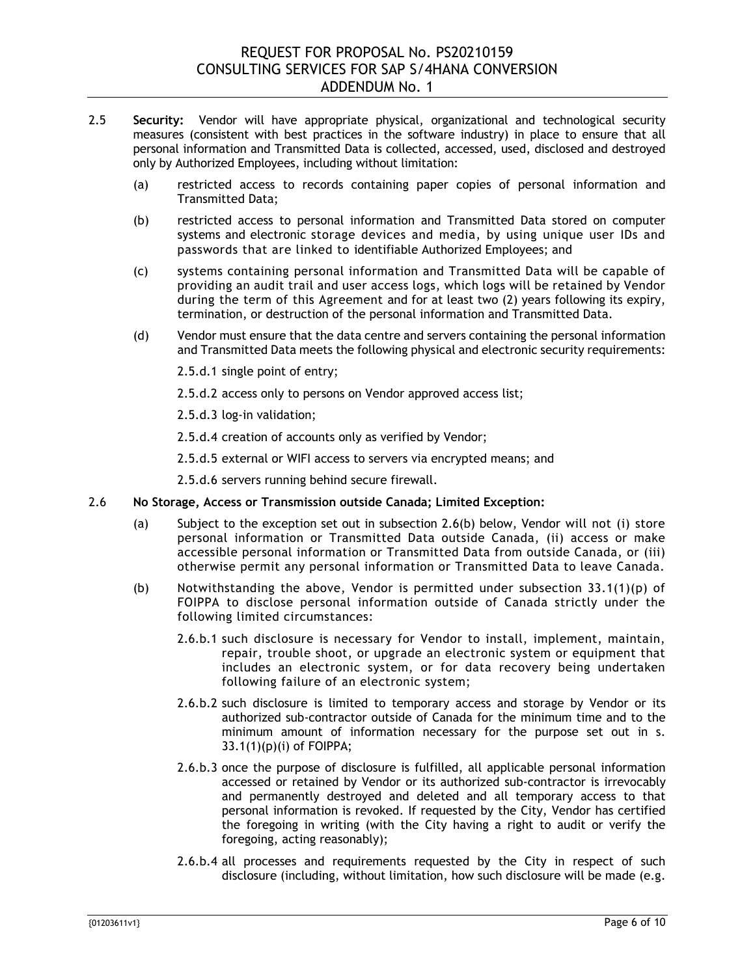- 2.5 **Security:** Vendor will have appropriate physical, organizational and technological security measures (consistent with best practices in the software industry) in place to ensure that all personal information and Transmitted Data is collected, accessed, used, disclosed and destroyed only by Authorized Employees, including without limitation:
	- (a) restricted access to records containing paper copies of personal information and Transmitted Data;
	- (b) restricted access to personal information and Transmitted Data stored on computer systems and electronic storage devices and media, by using unique user IDs and passwords that are linked to identifiable Authorized Employees; and
	- (c) systems containing personal information and Transmitted Data will be capable of providing an audit trail and user access logs, which logs will be retained by Vendor during the term of this Agreement and for at least two (2) years following its expiry, termination, or destruction of the personal information and Transmitted Data.
	- (d) Vendor must ensure that the data centre and servers containing the personal information and Transmitted Data meets the following physical and electronic security requirements:
		- 2.5.d.1 single point of entry;
		- 2.5.d.2 access only to persons on Vendor approved access list;
		- 2.5.d.3 log-in validation;
		- 2.5.d.4 creation of accounts only as verified by Vendor;
		- 2.5.d.5 external or WIFI access to servers via encrypted means; and

2.5.d.6 servers running behind secure firewall.

#### 2.6 **No Storage, Access or Transmission outside Canada; Limited Exception:**

- (a) Subject to the exception set out in subsection 2.6(b) below, Vendor will not (i) store personal information or Transmitted Data outside Canada, (ii) access or make accessible personal information or Transmitted Data from outside Canada, or (iii) otherwise permit any personal information or Transmitted Data to leave Canada.
- (b) Notwithstanding the above, Vendor is permitted under subsection  $33.1(1)(p)$  of FOIPPA to disclose personal information outside of Canada strictly under the following limited circumstances:
	- 2.6.b.1 such disclosure is necessary for Vendor to install, implement, maintain, repair, trouble shoot, or upgrade an electronic system or equipment that includes an electronic system, or for data recovery being undertaken following failure of an electronic system;
	- 2.6.b.2 such disclosure is limited to temporary access and storage by Vendor or its authorized sub-contractor outside of Canada for the minimum time and to the minimum amount of information necessary for the purpose set out in s. 33.1(1)(p)(i) of FOIPPA;
	- 2.6.b.3 once the purpose of disclosure is fulfilled, all applicable personal information accessed or retained by Vendor or its authorized sub-contractor is irrevocably and permanently destroyed and deleted and all temporary access to that personal information is revoked. If requested by the City, Vendor has certified the foregoing in writing (with the City having a right to audit or verify the foregoing, acting reasonably);
	- 2.6.b.4 all processes and requirements requested by the City in respect of such disclosure (including, without limitation, how such disclosure will be made (e.g.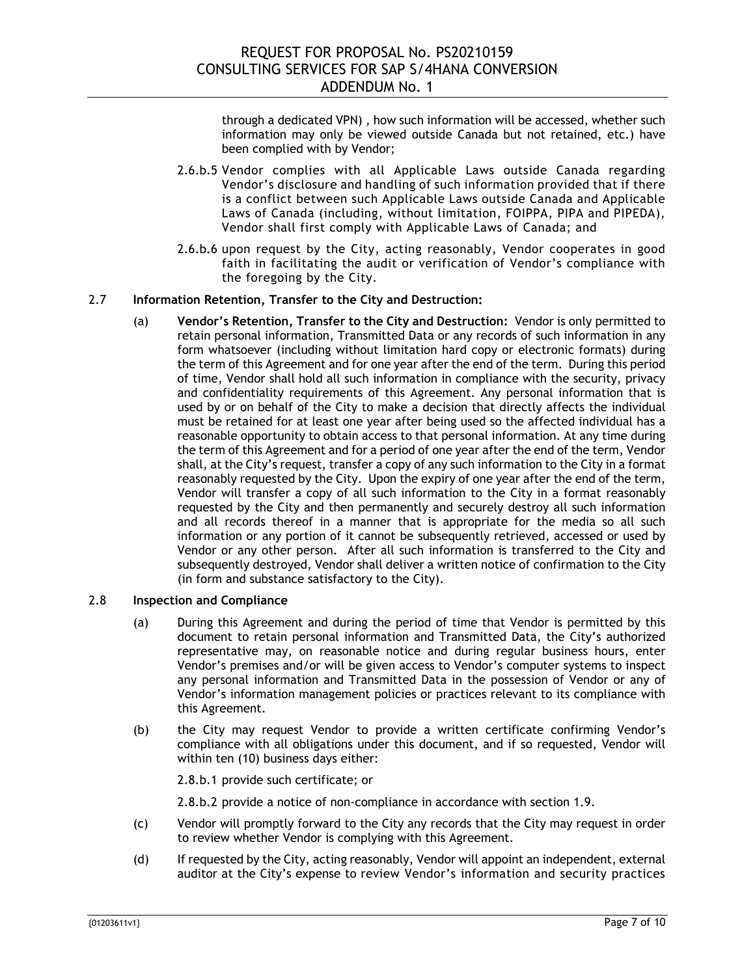through a dedicated VPN) , how such information will be accessed, whether such information may only be viewed outside Canada but not retained, etc.) have been complied with by Vendor;

- 2.6.b.5 Vendor complies with all Applicable Laws outside Canada regarding Vendor's disclosure and handling of such information provided that if there is a conflict between such Applicable Laws outside Canada and Applicable Laws of Canada (including, without limitation, FOIPPA, PIPA and PIPEDA), Vendor shall first comply with Applicable Laws of Canada; and
- 2.6.b.6 upon request by the City, acting reasonably, Vendor cooperates in good faith in facilitating the audit or verification of Vendor's compliance with the foregoing by the City.

#### 2.7 **Information Retention, Transfer to the City and Destruction:**

(a) **Vendor's Retention, Transfer to the City and Destruction:** Vendor is only permitted to retain personal information, Transmitted Data or any records of such information in any form whatsoever (including without limitation hard copy or electronic formats) during the term of this Agreement and for one year after the end of the term. During this period of time, Vendor shall hold all such information in compliance with the security, privacy and confidentiality requirements of this Agreement. Any personal information that is used by or on behalf of the City to make a decision that directly affects the individual must be retained for at least one year after being used so the affected individual has a reasonable opportunity to obtain access to that personal information. At any time during the term of this Agreement and for a period of one year after the end of the term, Vendor shall, at the City's request, transfer a copy of any such information to the City in a format reasonably requested by the City. Upon the expiry of one year after the end of the term, Vendor will transfer a copy of all such information to the City in a format reasonably requested by the City and then permanently and securely destroy all such information and all records thereof in a manner that is appropriate for the media so all such information or any portion of it cannot be subsequently retrieved, accessed or used by Vendor or any other person. After all such information is transferred to the City and subsequently destroyed, Vendor shall deliver a written notice of confirmation to the City (in form and substance satisfactory to the City).

#### 2.8 **Inspection and Compliance**

- (a) During this Agreement and during the period of time that Vendor is permitted by this document to retain personal information and Transmitted Data, the City's authorized representative may, on reasonable notice and during regular business hours, enter Vendor's premises and/or will be given access to Vendor's computer systems to inspect any personal information and Transmitted Data in the possession of Vendor or any of Vendor's information management policies or practices relevant to its compliance with this Agreement.
- (b) the City may request Vendor to provide a written certificate confirming Vendor's compliance with all obligations under this document, and if so requested, Vendor will within ten (10) business days either:

2.8.b.1 provide such certificate; or

2.8.b.2 provide a notice of non-compliance in accordance with section 1.9.

- (c) Vendor will promptly forward to the City any records that the City may request in order to review whether Vendor is complying with this Agreement.
- (d) If requested by the City, acting reasonably, Vendor will appoint an independent, external auditor at the City's expense to review Vendor's information and security practices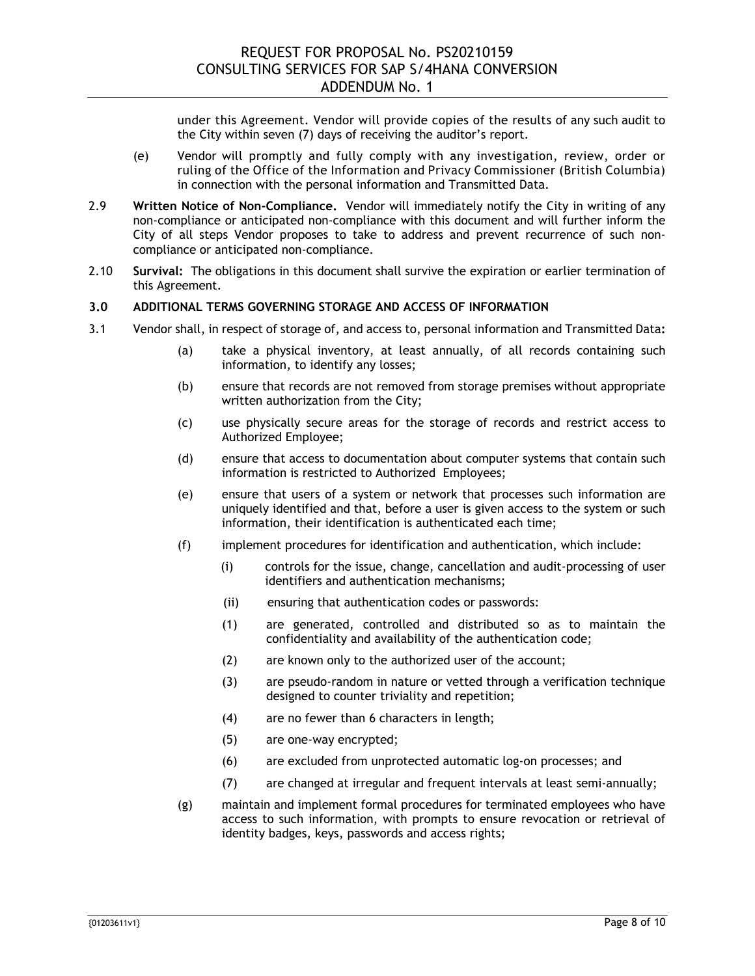under this Agreement. Vendor will provide copies of the results of any such audit to the City within seven (7) days of receiving the auditor's report.

- (e) Vendor will promptly and fully comply with any investigation, review, order or ruling of the Office of the Information and Privacy Commissioner (British Columbia) in connection with the personal information and Transmitted Data.
- 2.9 **Written Notice of Non-Compliance.** Vendor will immediately notify the City in writing of any non-compliance or anticipated non-compliance with this document and will further inform the City of all steps Vendor proposes to take to address and prevent recurrence of such noncompliance or anticipated non-compliance.
- 2.10 **Survival:** The obligations in this document shall survive the expiration or earlier termination of this Agreement.

### **3.0 ADDITIONAL TERMS GOVERNING STORAGE AND ACCESS OF INFORMATION**

- 3.1 Vendor shall, in respect of storage of, and access to, personal information and Transmitted Data**:**
	- (a) take a physical inventory, at least annually, of all records containing such information, to identify any losses;
	- (b) ensure that records are not removed from storage premises without appropriate written authorization from the City;
	- (c) use physically secure areas for the storage of records and restrict access to Authorized Employee;
	- (d) ensure that access to documentation about computer systems that contain such information is restricted to Authorized Employees;
	- (e) ensure that users of a system or network that processes such information are uniquely identified and that, before a user is given access to the system or such information, their identification is authenticated each time;
	- (f) implement procedures for identification and authentication, which include:
		- (i) controls for the issue, change, cancellation and audit-processing of user identifiers and authentication mechanisms;
		- (ii) ensuring that authentication codes or passwords:
		- (1) are generated, controlled and distributed so as to maintain the confidentiality and availability of the authentication code;
		- (2) are known only to the authorized user of the account;
		- (3) are pseudo-random in nature or vetted through a verification technique designed to counter triviality and repetition;
		- (4) are no fewer than 6 characters in length;
		- (5) are one-way encrypted;
		- (6) are excluded from unprotected automatic log-on processes; and
		- (7) are changed at irregular and frequent intervals at least semi-annually;
	- (g) maintain and implement formal procedures for terminated employees who have access to such information, with prompts to ensure revocation or retrieval of identity badges, keys, passwords and access rights;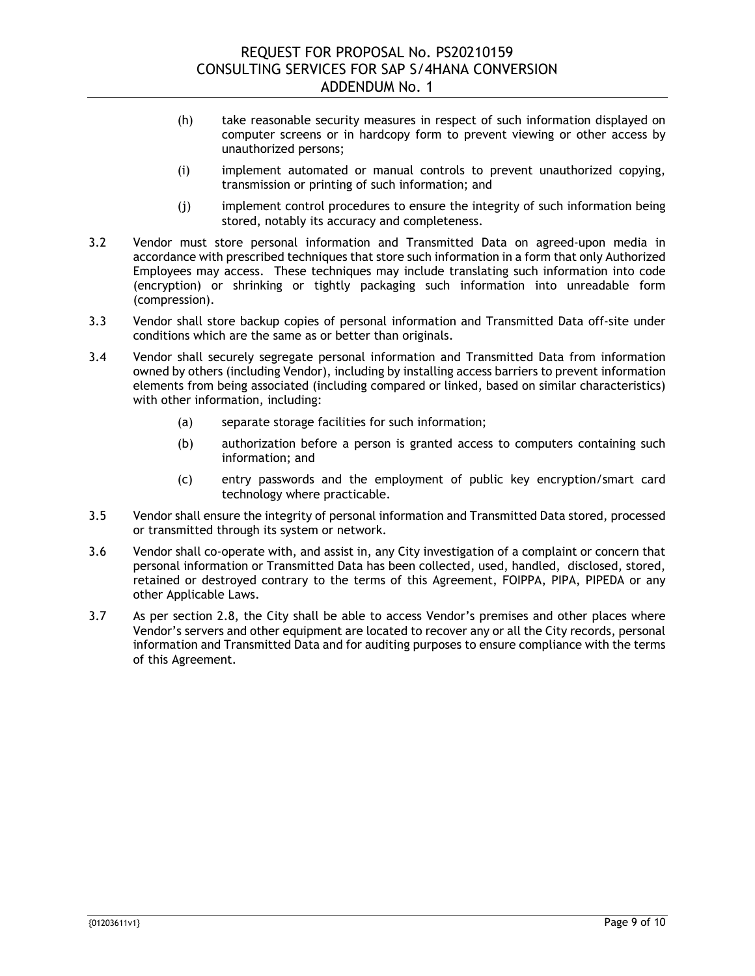- (h) take reasonable security measures in respect of such information displayed on computer screens or in hardcopy form to prevent viewing or other access by unauthorized persons;
- (i) implement automated or manual controls to prevent unauthorized copying, transmission or printing of such information; and
- (j) implement control procedures to ensure the integrity of such information being stored, notably its accuracy and completeness.
- 3.2 Vendor must store personal information and Transmitted Data on agreed-upon media in accordance with prescribed techniques that store such information in a form that only Authorized Employees may access. These techniques may include translating such information into code (encryption) or shrinking or tightly packaging such information into unreadable form (compression).
- 3.3 Vendor shall store backup copies of personal information and Transmitted Data off-site under conditions which are the same as or better than originals.
- 3.4 Vendor shall securely segregate personal information and Transmitted Data from information owned by others (including Vendor), including by installing access barriers to prevent information elements from being associated (including compared or linked, based on similar characteristics) with other information, including:
	- (a) separate storage facilities for such information;
	- (b) authorization before a person is granted access to computers containing such information; and
	- (c) entry passwords and the employment of public key encryption/smart card technology where practicable.
- 3.5 Vendor shall ensure the integrity of personal information and Transmitted Data stored, processed or transmitted through its system or network.
- 3.6 Vendor shall co-operate with, and assist in, any City investigation of a complaint or concern that personal information or Transmitted Data has been collected, used, handled, disclosed, stored, retained or destroyed contrary to the terms of this Agreement, FOIPPA, PIPA, PIPEDA or any other Applicable Laws.
- 3.7 As per section 2.8, the City shall be able to access Vendor's premises and other places where Vendor's servers and other equipment are located to recover any or all the City records, personal information and Transmitted Data and for auditing purposes to ensure compliance with the terms of this Agreement.